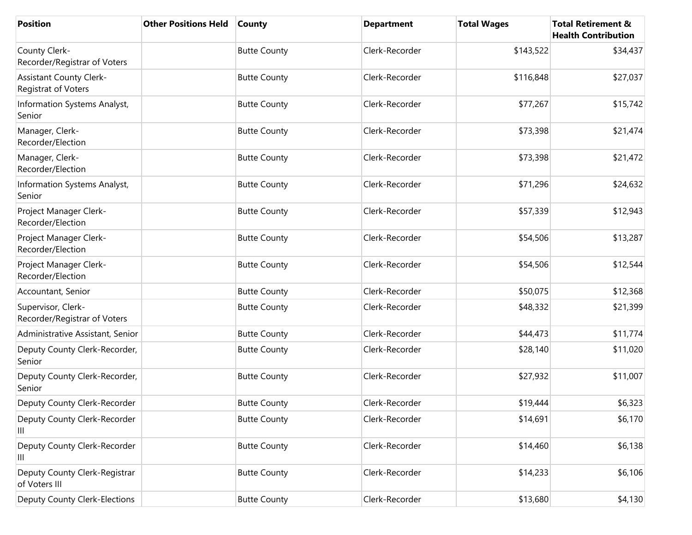| <b>Position</b>                                       | <b>Other Positions Held</b> | <b>County</b>       | <b>Department</b> | <b>Total Wages</b> | <b>Total Retirement &amp;</b><br><b>Health Contribution</b> |
|-------------------------------------------------------|-----------------------------|---------------------|-------------------|--------------------|-------------------------------------------------------------|
| County Clerk-<br>Recorder/Registrar of Voters         |                             | <b>Butte County</b> | Clerk-Recorder    | \$143,522          | \$34,437                                                    |
| <b>Assistant County Clerk-</b><br>Registrat of Voters |                             | <b>Butte County</b> | Clerk-Recorder    | \$116,848          | \$27,037                                                    |
| Information Systems Analyst,<br>Senior                |                             | <b>Butte County</b> | Clerk-Recorder    | \$77,267           | \$15,742                                                    |
| Manager, Clerk-<br>Recorder/Election                  |                             | <b>Butte County</b> | Clerk-Recorder    | \$73,398           | \$21,474                                                    |
| Manager, Clerk-<br>Recorder/Election                  |                             | <b>Butte County</b> | Clerk-Recorder    | \$73,398           | \$21,472                                                    |
| Information Systems Analyst,<br>Senior                |                             | <b>Butte County</b> | Clerk-Recorder    | \$71,296           | \$24,632                                                    |
| Project Manager Clerk-<br>Recorder/Election           |                             | <b>Butte County</b> | Clerk-Recorder    | \$57,339           | \$12,943                                                    |
| Project Manager Clerk-<br>Recorder/Election           |                             | <b>Butte County</b> | Clerk-Recorder    | \$54,506           | \$13,287                                                    |
| Project Manager Clerk-<br>Recorder/Election           |                             | <b>Butte County</b> | Clerk-Recorder    | \$54,506           | \$12,544                                                    |
| Accountant, Senior                                    |                             | <b>Butte County</b> | Clerk-Recorder    | \$50,075           | \$12,368                                                    |
| Supervisor, Clerk-<br>Recorder/Registrar of Voters    |                             | <b>Butte County</b> | Clerk-Recorder    | \$48,332           | \$21,399                                                    |
| Administrative Assistant, Senior                      |                             | <b>Butte County</b> | Clerk-Recorder    | \$44,473           | \$11,774                                                    |
| Deputy County Clerk-Recorder,<br>Senior               |                             | <b>Butte County</b> | Clerk-Recorder    | \$28,140           | \$11,020                                                    |
| Deputy County Clerk-Recorder,<br>Senior               |                             | <b>Butte County</b> | Clerk-Recorder    | \$27,932           | \$11,007                                                    |
| Deputy County Clerk-Recorder                          |                             | <b>Butte County</b> | Clerk-Recorder    | \$19,444           | \$6,323                                                     |
| Deputy County Clerk-Recorder<br>Ш                     |                             | <b>Butte County</b> | Clerk-Recorder    | \$14,691           | \$6,170                                                     |
| Deputy County Clerk-Recorder<br>Ш                     |                             | <b>Butte County</b> | Clerk-Recorder    | \$14,460           | \$6,138                                                     |
| Deputy County Clerk-Registrar<br>of Voters III        |                             | <b>Butte County</b> | Clerk-Recorder    | \$14,233           | \$6,106                                                     |
| <b>Deputy County Clerk-Elections</b>                  |                             | <b>Butte County</b> | Clerk-Recorder    | \$13,680           | \$4,130                                                     |